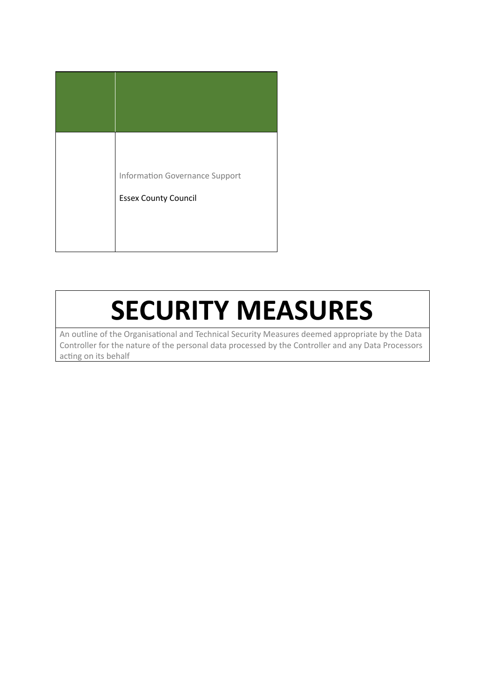| <b>Information Governance Support</b><br><b>Essex County Council</b> |
|----------------------------------------------------------------------|
|                                                                      |

## **SECURITY MEASURES**

An outline of the Organisational and Technical Security Measures deemed appropriate by the Data Controller for the nature of the personal data processed by the Controller and any Data Processors acting on its behalf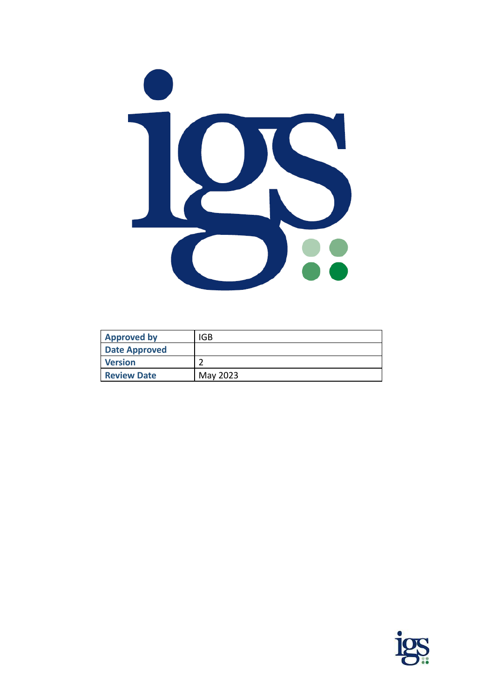

| <b>Approved by</b>   | IGB      |
|----------------------|----------|
| <b>Date Approved</b> |          |
| <b>Version</b>       |          |
| <b>Review Date</b>   | May 2023 |

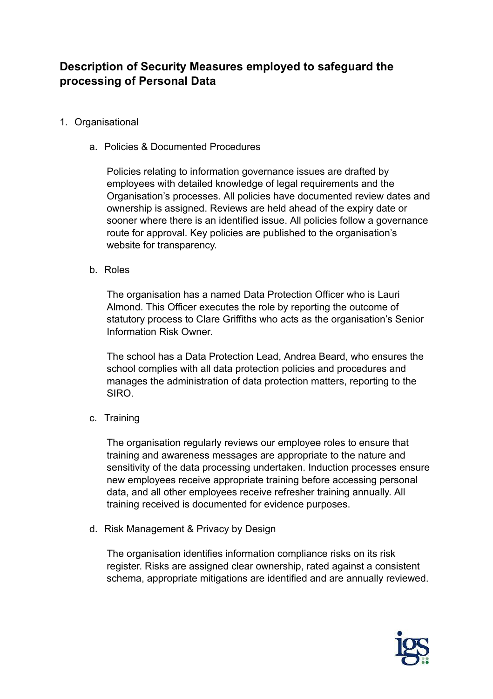## **Description of Security Measures employed to safeguard the processing of Personal Data**

- 1. Organisational
	- a. Policies & Documented Procedures

Policies relating to information governance issues are drafted by employees with detailed knowledge of legal requirements and the Organisation's processes. All policies have documented review dates and ownership is assigned. Reviews are held ahead of the expiry date or sooner where there is an identified issue. All policies follow a governance route for approval. Key policies are published to the organisation's website for transparency.

b. Roles

The organisation has a named Data Protection Officer who is Lauri Almond. This Officer executes the role by reporting the outcome of statutory process to Clare Griffiths who acts as the organisation's Senior Information Risk Owner.

The school has a Data Protection Lead, Andrea Beard, who ensures the school complies with all data protection policies and procedures and manages the administration of data protection matters, reporting to the SIRO.

c. Training

The organisation regularly reviews our employee roles to ensure that training and awareness messages are appropriate to the nature and sensitivity of the data processing undertaken. Induction processes ensure new employees receive appropriate training before accessing personal data, and all other employees receive refresher training annually. All training received is documented for evidence purposes.

d. Risk Management & Privacy by Design

The organisation identifies information compliance risks on its risk register. Risks are assigned clear ownership, rated against a consistent schema, appropriate mitigations are identified and are annually reviewed.

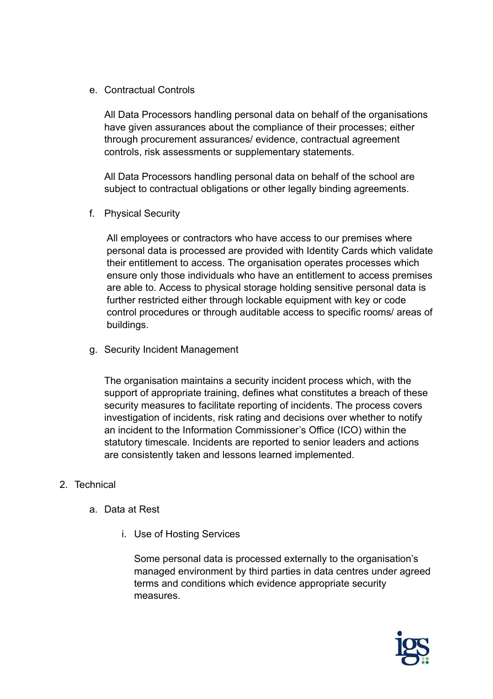e. Contractual Controls

All Data Processors handling personal data on behalf of the organisations have given assurances about the compliance of their processes; either through procurement assurances/ evidence, contractual agreement controls, risk assessments or supplementary statements.

All Data Processors handling personal data on behalf of the school are subject to contractual obligations or other legally binding agreements.

f. Physical Security

All employees or contractors who have access to our premises where personal data is processed are provided with Identity Cards which validate their entitlement to access. The organisation operates processes which ensure only those individuals who have an entitlement to access premises are able to. Access to physical storage holding sensitive personal data is further restricted either through lockable equipment with key or code control procedures or through auditable access to specific rooms/ areas of buildings.

g. Security Incident Management

The organisation maintains a security incident process which, with the support of appropriate training, defines what constitutes a breach of these security measures to facilitate reporting of incidents. The process covers investigation of incidents, risk rating and decisions over whether to notify an incident to the Information Commissioner's Office (ICO) within the statutory timescale. Incidents are reported to senior leaders and actions are consistently taken and lessons learned implemented.

## 2. Technical

- a. Data at Rest
	- i. Use of Hosting Services

Some personal data is processed externally to the organisation's managed environment by third parties in data centres under agreed terms and conditions which evidence appropriate security measures.

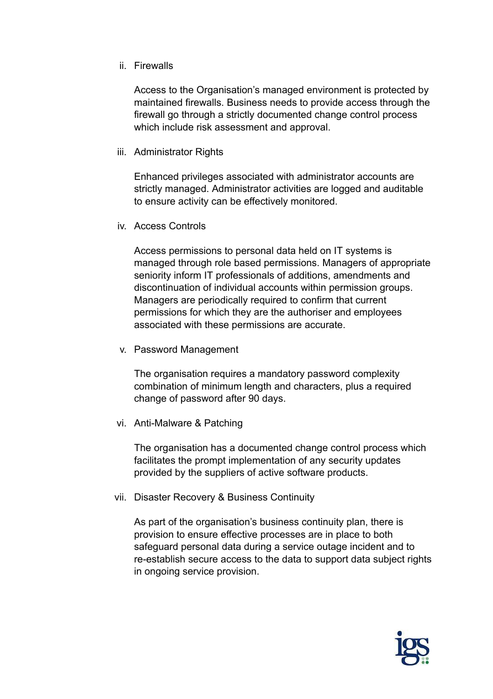## ii. Firewalls

Access to the Organisation's managed environment is protected by maintained firewalls. Business needs to provide access through the firewall go through a strictly documented change control process which include risk assessment and approval.

iii. Administrator Rights

Enhanced privileges associated with administrator accounts are strictly managed. Administrator activities are logged and auditable to ensure activity can be effectively monitored.

iv. Access Controls

Access permissions to personal data held on IT systems is managed through role based permissions. Managers of appropriate seniority inform IT professionals of additions, amendments and discontinuation of individual accounts within permission groups. Managers are periodically required to confirm that current permissions for which they are the authoriser and employees associated with these permissions are accurate.

v. Password Management

The organisation requires a mandatory password complexity combination of minimum length and characters, plus a required change of password after 90 days.

vi. Anti-Malware & Patching

The organisation has a documented change control process which facilitates the prompt implementation of any security updates provided by the suppliers of active software products.

vii. Disaster Recovery & Business Continuity

As part of the organisation's business continuity plan, there is provision to ensure effective processes are in place to both safeguard personal data during a service outage incident and to re-establish secure access to the data to support data subject rights in ongoing service provision.